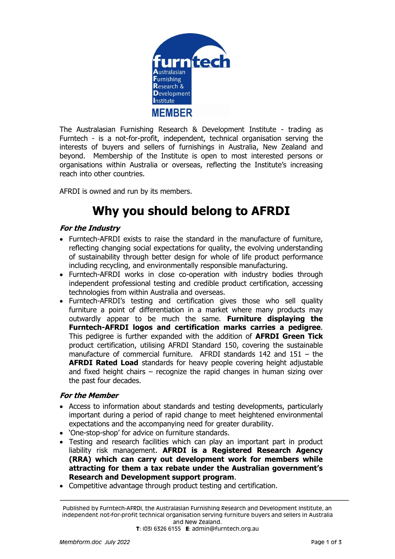

The Australasian Furnishing Research & Development Institute - trading as Furntech - is a not-for-profit, independent, technical organisation serving the interests of buyers and sellers of furnishings in Australia, New Zealand and beyond. Membership of the Institute is open to most interested persons or organisations within Australia or overseas, reflecting the Institute's increasing reach into other countries.

AFRDI is owned and run by its members.

# **Why you should belong to AFRDI**

## **For the Industry**

- Furntech-AFRDI exists to raise the standard in the manufacture of furniture, reflecting changing social expectations for quality, the evolving understanding of sustainability through better design for whole of life product performance including recycling, and environmentally responsible manufacturing.
- Furntech-AFRDI works in close co-operation with industry bodies through independent professional testing and credible product certification, accessing technologies from within Australia and overseas.
- Furntech-AFRDI's testing and certification gives those who sell quality furniture a point of differentiation in a market where many products may outwardly appear to be much the same. **Furniture displaying the Furntech-AFRDI logos and certification marks carries a pedigree**. This pedigree is further expanded with the addition of **AFRDI Green Tick** product certification, utilising AFRDI Standard 150, covering the sustainable manufacture of commercial furniture. AFRDI standards 142 and 151 – the **AFRDI Rated Load** standards for heavy people covering height adjustable and fixed height chairs – recognize the rapid changes in human sizing over the past four decades.

#### **For the Member**

- Access to information about standards and testing developments, particularly important during a period of rapid change to meet heightened environmental expectations and the accompanying need for greater durability.
- 'One-stop-shop' for advice on furniture standards.
- Testing and research facilities which can play an important part in product liability risk management. **AFRDI is a Registered Research Agency (RRA) which can carry out development work for members while attracting for them a tax rebate under the Australian government's Research and Development support program**.
- Competitive advantage through product testing and certification.

Published by Furntech-AFRDI, the Australasian Furnishing Research and Development Institute, an independent not-for-profit technical organisation serving furniture buyers and sellers in Australia and New Zealand.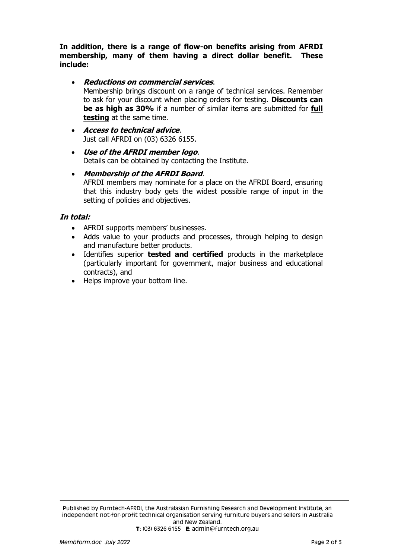**In addition, there is a range of flow-on benefits arising from AFRDI membership, many of them having a direct dollar benefit. These include:**

**Reductions on commercial services**.

Membership brings discount on a range of technical services. Remember to ask for your discount when placing orders for testing. **Discounts can be as high as 30%** if a number of similar items are submitted for **full testing** at the same time.

- **Access to technical advice**. Just call AFRDI on (03) 6326 6155.
- **Use of the AFRDI member logo**. Details can be obtained by contacting the Institute.
- **Membership of the AFRDI Board**. AFRDI members may nominate for a place on the AFRDI Board, ensuring that this industry body gets the widest possible range of input in the setting of policies and objectives.

## **In total:**

- AFRDI supports members' businesses.
- Adds value to your products and processes, through helping to design and manufacture better products.
- Identifies superior **tested and certified** products in the marketplace (particularly important for government, major business and educational contracts), and
- Helps improve your bottom line.

Published by Furntech-AFRDI, the Australasian Furnishing Research and Development Institute, an independent not-for-profit technical organisation serving furniture buyers and sellers in Australia and New Zealand. **T**: (03) 6326 6155 **E**: admin@furntech.org.au